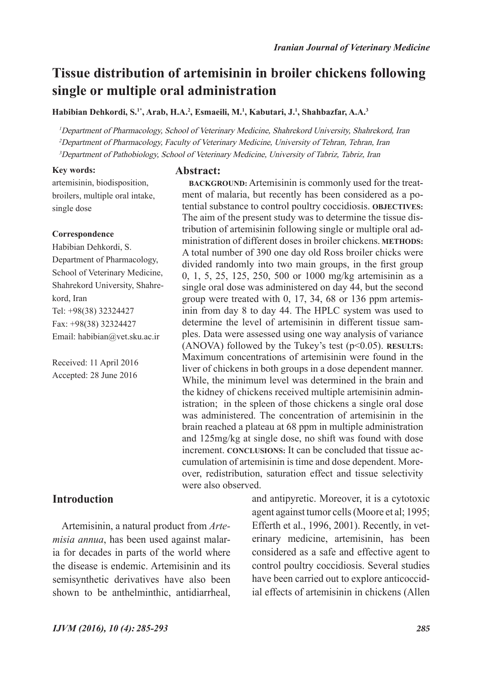**BACKGROUND:** Artemisinin is commonly used for the treatment of malaria, but recently has been considered as a potential substance to control poultry coccidiosis. **OBJECTIVES:**  The aim of the present study was to determine the tissue distribution of artemisinin following single or multiple oral administration of different doses in broiler chickens. **METHODS:**  A total number of 390 one day old Ross broiler chicks were divided randomly into two main groups, in the first group 0, 1, 5, 25, 125, 250, 500 or 1000 mg/kg artemisinin as a single oral dose was administered on day 44, but the second group were treated with 0, 17, 34, 68 or 136 ppm artemisinin from day 8 to day 44. The HPLC system was used to determine the level of artemisinin in different tissue samples. Data were assessed using one way analysis of variance (ANOVA) followed by the Tukey's test (p<0.05). **RESULTS:**  Maximum concentrations of artemisinin were found in the liver of chickens in both groups in a dose dependent manner.

## **Tissue distribution of artemisinin in broiler chickens following single or multiple oral administration**

**Habibian Dehkordi, S.1\*, Arab, H.A.<sup>2</sup> , Esmaeili, M.1 , Kabutari, J.<sup>1</sup> , Shahbazfar, A.A.<sup>3</sup>**

<sup>1</sup>Department of Pharmacology, School of Veterinary Medicine, Shahrekord University, Shahrekord, Iran <sup>2</sup>Department of Pharmacology, Faculty of Veterinary Medicine, University of Tehran, Tehran, Iran <sup>3</sup>Department of Pathobiology, School of Veterinary Medicine, University of Tabriz, Tabriz, Iran

#### **Key words:**

#### **Abstract:**

artemisinin, biodisposition, broilers, multiple oral intake, single dose

#### **Correspondence**

Habibian Dehkordi, S. Department of Pharmacology, School of Veterinary Medicine, Shahrekord University, Shahrekord, Iran Tel: +98(38) 32324427 Fax: +98(38) 32324427 Email: habibian@vet.sku.ac.ir

Received: 11 April 2016 Accepted: 28 June 2016

### **Introduction**

Artemisinin, a natural product from *Artemisia annua*, has been used against malaria for decades in parts of the world where the disease is endemic. Artemisinin and its semisynthetic derivatives have also been shown to be anthelminthic, antidiarrheal,

While, the minimum level was determined in the brain and the kidney of chickens received multiple artemisinin administration; in the spleen of those chickens a single oral dose was administered. The concentration of artemisinin in the brain reached a plateau at 68 ppm in multiple administration and 125mg/kg at single dose, no shift was found with dose increment. **CONCLUSIONS:** It can be concluded that tissue accumulation of artemisinin is time and dose dependent. Moreover, redistribution, saturation effect and tissue selectivity were also observed. and antipyretic. Moreover, it is a cytotoxic agent against tumor cells (Moore et al; 1995; Efferth et al., 1996, 2001). Recently, in veterinary medicine, artemisinin, has been considered as a safe and effective agent to

> control poultry coccidiosis. Several studies have been carried out to explore anticoccidial effects of artemisinin in chickens (Allen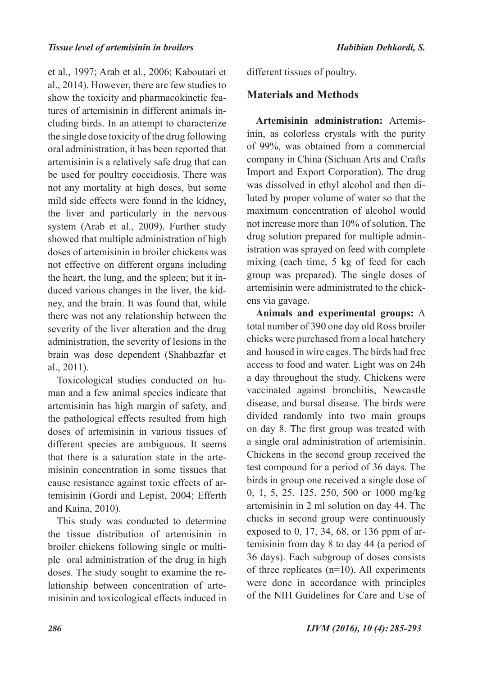et al., 1997; Arab et al., 2006; Kaboutari et al., 2014). However, there are few studies to show the toxicity and pharmacokinetic features of artemisinin in different animals including birds. In an attempt to characterize the single dose toxicity of the drug following oral administration, it has been reported that artemisinin is a relatively safe drug that can be used for poultry coccidiosis. There was not any mortality at high doses, but some mild side effects were found in the kidney, the liver and particularly in the nervous system (Arab et al., 2009). Further study showed that multiple administration of high doses of artemisinin in broiler chickens was not effective on different organs including the heart, the lung, and the spleen; but it induced various changes in the liver, the kidney, and the brain. It was found that, while there was not any relationship between the severity of the liver alteration and the drug administration, the severity of lesions in the brain was dose dependent (Shahbazfar et al., 2011).

Toxicological studies conducted on human and a few animal species indicate that artemisinin has high margin of safety, and the pathological effects resulted from high doses of artemisinin in various tissues of different species are ambiguous. It seems that there is a saturation state in the artemisinin concentration in some tissues that cause resistance against toxic effects of artemisinin (Gordi and Lepist, 2004; Efferth and Kaina, 2010).

This study was conducted to determine the tissue distribution of artemisinin in broiler chickens following single or multiple oral administration of the drug in high doses. The study sought to examine the relationship between concentration of artemisinin and toxicological effects induced in different tissues of poultry.

#### **Materials and Methods**

**Artemisinin administration:** Artemisinin, as colorless crystals with the purity of 99%, was obtained from a commercial company in China (Sichuan Arts and Crafts Import and Export Corporation). The drug was dissolved in ethyl alcohol and then diluted by proper volume of water so that the maximum concentration of alcohol would not increase more than 10% of solution. The drug solution prepared for multiple administration was sprayed on feed with complete mixing (each time, 5 kg of feed for each group was prepared). The single doses of artemisinin were administrated to the chickens via gavage.

**Animals and experimental groups:** A total number of 390 one day old Ross broiler chicks were purchased from a local hatchery and housed in wire cages. The birds had free access to food and water. Light was on 24h a day throughout the study. Chickens were vaccinated against bronchitis, Newcastle disease, and bursal disease. The birds were divided randomly into two main groups on day 8. The first group was treated with a single oral administration of artemisinin. Chickens in the second group received the test compound for a period of 36 days. The birds in group one received a single dose of 0, 1, 5, 25, 125, 250, 500 or 1000 mg/kg artemisinin in 2 ml solution on day 44. The chicks in second group were continuously exposed to 0, 17, 34, 68, or 136 ppm of artemisinin from day 8 to day 44 (a period of 36 days). Each subgroup of doses consists of three replicates  $(n=10)$ . All experiments were done in accordance with principles of the NIH Guidelines for Care and Use of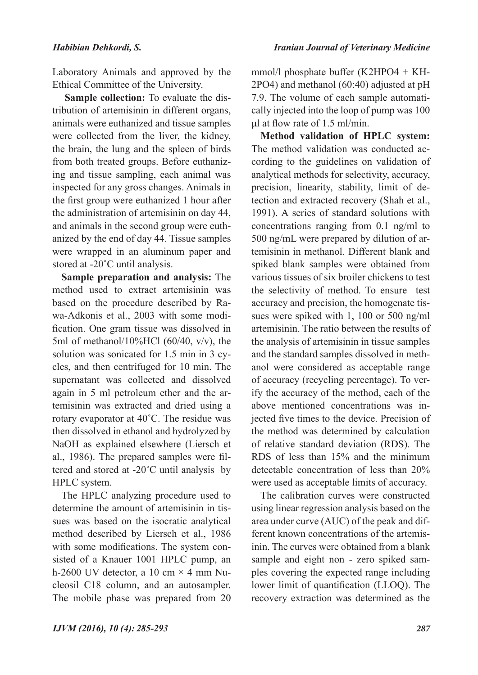Laboratory Animals and approved by the Ethical Committee of the University.

**Sample collection:** To evaluate the distribution of artemisinin in different organs, animals were euthanized and tissue samples were collected from the liver, the kidney, the brain, the lung and the spleen of birds from both treated groups. Before euthanizing and tissue sampling, each animal was inspected for any gross changes. Animals in the first group were euthanized 1 hour after the administration of artemisinin on day 44, and animals in the second group were euthanized by the end of day 44. Tissue samples were wrapped in an aluminum paper and stored at -20˚C until analysis.

**Sample preparation and analysis:** The method used to extract artemisinin was based on the procedure described by Rawa-Adkonis et al., 2003 with some modification. One gram tissue was dissolved in 5ml of methanol/10%HCl  $(60/40, v/v)$ , the solution was sonicated for 1.5 min in 3 cycles, and then centrifuged for 10 min. The supernatant was collected and dissolved again in 5 ml petroleum ether and the artemisinin was extracted and dried using a rotary evaporator at 40˚C. The residue was then dissolved in ethanol and hydrolyzed by NaOH as explained elsewhere (Liersch et al., 1986). The prepared samples were filtered and stored at -20˚C until analysis by HPLC system.

The HPLC analyzing procedure used to determine the amount of artemisinin in tissues was based on the isocratic analytical method described by Liersch et al., 1986 with some modifications. The system consisted of a Knauer 1001 HPLC pump, an h-2600 UV detector, a 10 cm  $\times$  4 mm Nucleosil C18 column, and an autosampler. The mobile phase was prepared from 20

mmol/l phosphate buffer (K2HPO4 + KH-2PO4) and methanol (60:40) adjusted at pH 7.9. The volume of each sample automatically injected into the loop of pump was 100 μl at flow rate of 1.5 ml/min.

**Method validation of HPLC system:** The method validation was conducted according to the guidelines on validation of analytical methods for selectivity, accuracy, precision, linearity, stability, limit of detection and extracted recovery (Shah et al., 1991). A series of standard solutions with concentrations ranging from 0.1 ng/ml to 500 ng/mL were prepared by dilution of artemisinin in methanol. Different blank and spiked blank samples were obtained from various tissues of six broiler chickens to test the selectivity of method. To ensure test accuracy and precision, the homogenate tissues were spiked with 1, 100 or 500 ng/ml artemisinin. The ratio between the results of the analysis of artemisinin in tissue samples and the standard samples dissolved in methanol were considered as acceptable range of accuracy (recycling percentage). To verify the accuracy of the method, each of the above mentioned concentrations was injected five times to the device. Precision of the method was determined by calculation of relative standard deviation (RDS). The RDS of less than 15% and the minimum detectable concentration of less than 20% were used as acceptable limits of accuracy.

The calibration curves were constructed using linear regression analysis based on the area under curve (AUC) of the peak and different known concentrations of the artemisinin. The curves were obtained from a blank sample and eight non - zero spiked samples covering the expected range including lower limit of quantification (LLOQ). The recovery extraction was determined as the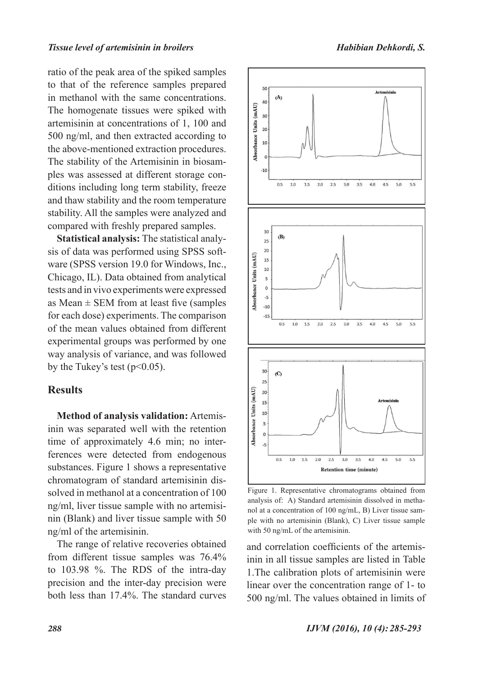ratio of the peak area of the spiked samples to that of the reference samples prepared in methanol with the same concentrations. The homogenate tissues were spiked with artemisinin at concentrations of 1, 100 and 500 ng/ml, and then extracted according to the above-mentioned extraction procedures. The stability of the Artemisinin in biosamples was assessed at different storage conditions including long term stability, freeze and thaw stability and the room temperature stability. All the samples were analyzed and compared with freshly prepared samples.

**Statistical analysis:** The statistical analysis of data was performed using SPSS software (SPSS version 19.0 for Windows, Inc., Chicago, IL). Data obtained from analytical tests and in vivo experiments were expressed as Mean  $\pm$  SEM from at least five (samples for each dose) experiments. The comparison of the mean values obtained from different experimental groups was performed by one way analysis of variance, and was followed by the Tukey's test ( $p<0.05$ ).

#### **Results**

**Method of analysis validation:** Artemisinin was separated well with the retention time of approximately 4.6 min; no interferences were detected from endogenous substances. Figure 1 shows a representative chromatogram of standard artemisinin dissolved in methanol at a concentration of 100 ng/ml, liver tissue sample with no artemisinin (Blank) and liver tissue sample with 50 ng/ml of the artemisinin.

The range of relative recoveries obtained from different tissue samples was 76.4% to 103.98 %. The RDS of the intra-day precision and the inter-day precision were both less than 17.4%. The standard curves



Figure 1. Representative chromatograms obtained from analysis of: A) Standard artemisinin dissolved in methanol at a concentration of 100 ng/mL, B) Liver tissue sample with no artemisinin (Blank), C) Liver tissue sample with 50 ng/mL of the artemisinin.

and correlation coefficients of the artemisinin in all tissue samples are listed in Table 1.The calibration plots of artemisinin were linear over the concentration range of 1- to 500 ng/ml. The values obtained in limits of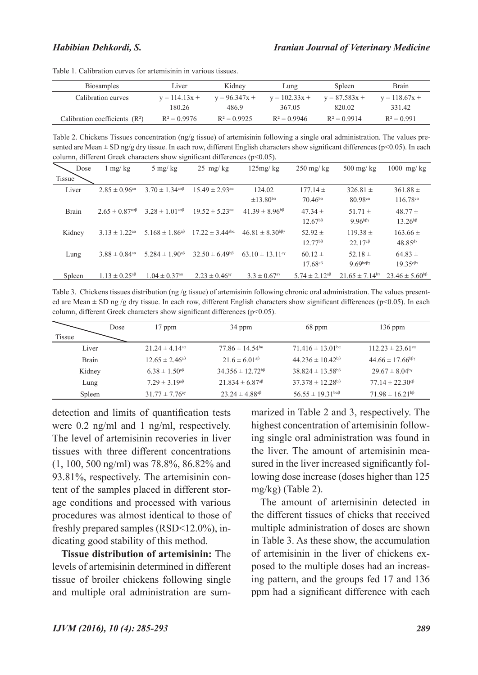| <b>Biosamples</b>               | Liver           | Kidney          | Lung            | Spleen          | Brain           |
|---------------------------------|-----------------|-----------------|-----------------|-----------------|-----------------|
| Calibration curves              | $y = 114.13x +$ | $y = 96.347x +$ | $y = 102.33x +$ | $v = 87.583x +$ | $y = 118.67x +$ |
|                                 | 180 26          | 4869            | 367.05          | 820.02          | 331.42          |
| Calibration coefficients $(R2)$ | $R^2 = 0.9976$  | $R^2 = 0.9925$  | $R^2 = 0.9946$  | $R^2 = 0.9914$  | $R^2 = 0.991$   |

Table 1. Calibration curves for artemisinin in various tissues.

Table 2. Chickens Tissues concentration ( $n\frac{g}{g}$  tissue) of artemisinin following a single oral administration. The values presented are Mean  $\pm$  SD ng/g dry tissue. In each row, different English characters show significant differences ( $p$ <0.05). In each column, different Greek characters show significant differences (p<0.05).

| Dose          | $1 \text{ mg/kg}$                     | $5 \text{ mg/kg}$                               | $25 \text{ mg/kg}$                | 125mg/kg                        | $250$ mg/kg                               | $500$ mg/kg                        | $1000$ mg/kg                                 |
|---------------|---------------------------------------|-------------------------------------------------|-----------------------------------|---------------------------------|-------------------------------------------|------------------------------------|----------------------------------------------|
| <b>Tissue</b> |                                       |                                                 |                                   |                                 |                                           |                                    |                                              |
| Liver         | $2.85 \pm 0.96$ <sup>aa</sup>         | $3.70 \pm 1.34^{\text{aq}}$                     | $15.49 \pm 2.93$ <sup>aa</sup>    | 124.02                          | $177.14 \pm$                              | $326.81 \pm$                       | $361.88 \pm$                                 |
|               |                                       |                                                 |                                   | $\pm 13.80^{\text{ba}}$         | $70.46^{ba}$                              | 80.98ca                            | $116.78c$ <sup><math>\alpha</math></sup>     |
| <b>Brain</b>  | $2.65 \pm 0.87^{\text{a}\alpha\beta}$ | $3.28 \pm 1.01^{\text{a}\alpha\beta}$           | $19.52 \pm 5.23$ <sup>aα</sup>    | $41.39 \pm 8.96^{b}$            | $47.34 \pm$                               | $51.71 \pm$                        | $48.77 \pm$                                  |
|               |                                       |                                                 |                                   |                                 | $12.67^{b}$                               | $9.96^{b\beta\gamma}$              | $13.26^{b}$                                  |
| Kidney        | $3.13 \pm 1.22$ <sup>aa</sup>         | 5.168 $\pm$ 1.86 <sup>aβ</sup>                  | $17.22 \pm 3.44^{\text{aba}}$     | $46.81 \pm 8.30^{b\beta\gamma}$ | $52.92 \pm$                               | $119.38 \pm$                       | $163.66 \pm$                                 |
|               |                                       |                                                 |                                   |                                 | $12.77^{b}$ <sup><math>\beta</math></sup> | $22.17^{c}$                        | $48.85^{d}$                                  |
| Lung          | $3.88 \pm 0.84^{\text{aa}}$           | $5.284 \pm 1.90^{a\beta}$                       | $32.50 \pm 6.49^{6}$              | 63.10 $\pm$ 13.11 $\degree$     | $60.12 \pm$                               | 52.18 $\pm$                        | $64.83 \pm$                                  |
|               |                                       |                                                 |                                   |                                 | $17.68c$ <sup><math>\beta</math></sup>    | $9.69$ <sub>bc</sub> $\beta\gamma$ | $19.35$ <sup>c<math>\beta\gamma</math></sup> |
| Spleen        | $1.13 \pm 0.25$ <sup>aβ</sup>         | $1.04 \pm 0.37$ <sup>a<math>\alpha</math></sup> | $2.23 \pm 0.46^{\text{a} \gamma}$ | $3.3 \pm 0.67$ <sup>ay</sup>    | $5.74 \pm 2.12^{a\beta}$                  | $21.65 \pm 7.14$ <sup>by</sup>     | $23.46 \pm 5.60^{b}$                         |

Table 3. Chickens tissues distribution (ng /g tissue) of artemisinin following chronic oral administration. The values presented are Mean  $\pm$  SD ng /g dry tissue. In each row, different English characters show significant differences (p<0.05). In each column, different Greek characters show significant differences (p<0.05).

|               | Dose | $17$ ppm                       | 34 ppm                          | 68 ppm                                  | $136$ ppm                        |
|---------------|------|--------------------------------|---------------------------------|-----------------------------------------|----------------------------------|
| <b>Tissue</b> |      |                                |                                 |                                         |                                  |
| Liver         |      | $21.24 \pm 4.14$ <sup>aa</sup> | $77.86 \pm 14.54^{ba}$          | $71.416 \pm 13.01^{ba}$                 | $112.23 \pm 23.61$ <sup>ca</sup> |
| <b>Brain</b>  |      | $12.65 \pm 2.46^{4}$           | $21.6 \pm 6.01$ <sup>aβ</sup>   | $44.236 \pm 10.42^{b}$                  | $44.66 \pm 17.66^{b\beta\gamma}$ |
| Kidney        |      | $6.38 \pm 1.50^{a\beta}$       | $34.356 \pm 12.72^{b}$          | $38.824 \pm 13.58^{b}$                  | $29.67 \pm 8.04$ <sup>by</sup>   |
| Lung          |      | $7.29 \pm 3.19^{a}$            | $21.834 \pm 6.87$ <sup>aβ</sup> | $37.378 \pm 12.28^{b}$                  | $77.14 \pm 22.30$ cβ             |
| Spleen        |      | $31.77 \pm 7.76$ <sup>ay</sup> | $23.24 \pm 4.88$ <sup>aβ</sup>  | $56.55 \pm 19.31^{\text{b}\alpha\beta}$ | $71.98 \pm 16.21^{b}$            |

detection and limits of quantification tests were 0.2 ng/ml and 1 ng/ml, respectively. The level of artemisinin recoveries in liver tissues with three different concentrations (1, 100, 500 ng/ml) was 78.8%, 86.82% and 93.81%, respectively. The artemisinin content of the samples placed in different storage conditions and processed with various procedures was almost identical to those of freshly prepared samples (RSD<12.0%), indicating good stability of this method.

**Tissue distribution of artemisinin:** The levels of artemisinin determined in different tissue of broiler chickens following single and multiple oral administration are summarized in Table 2 and 3, respectively. The highest concentration of artemisinin following single oral administration was found in the liver. The amount of artemisinin measured in the liver increased significantly following dose increase (doses higher than 125 mg/kg) (Table 2).

The amount of artemisinin detected in the different tissues of chicks that received multiple administration of doses are shown in Table 3. As these show, the accumulation of artemisinin in the liver of chickens exposed to the multiple doses had an increasing pattern, and the groups fed 17 and 136 ppm had a significant difference with each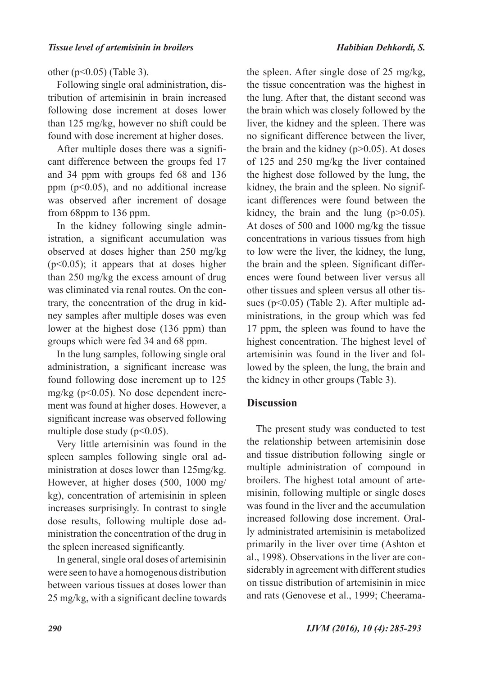#### other (p<0.05) (Table 3).

Following single oral administration, distribution of artemisinin in brain increased following dose increment at doses lower than 125 mg/kg, however no shift could be found with dose increment at higher doses.

After multiple doses there was a significant difference between the groups fed 17 and 34 ppm with groups fed 68 and 136 ppm  $(p<0.05)$ , and no additional increase was observed after increment of dosage from 68ppm to 136 ppm.

In the kidney following single administration, a significant accumulation was observed at doses higher than 250 mg/kg  $(p<0.05)$ ; it appears that at doses higher than 250 mg/kg the excess amount of drug was eliminated via renal routes. On the contrary, the concentration of the drug in kidney samples after multiple doses was even lower at the highest dose (136 ppm) than groups which were fed 34 and 68 ppm.

In the lung samples, following single oral administration, a significant increase was found following dose increment up to 125 mg/kg ( $p<0.05$ ). No dose dependent increment was found at higher doses. However, a significant increase was observed following multiple dose study  $(p<0.05)$ .

Very little artemisinin was found in the spleen samples following single oral administration at doses lower than 125mg/kg. However, at higher doses (500, 1000 mg/ kg), concentration of artemisinin in spleen increases surprisingly. In contrast to single dose results, following multiple dose administration the concentration of the drug in the spleen increased significantly.

In general, single oral doses of artemisinin were seen to have a homogenous distribution between various tissues at doses lower than 25 mg/kg, with a significant decline towards

the spleen. After single dose of 25 mg/kg, the tissue concentration was the highest in the lung. After that, the distant second was the brain which was closely followed by the liver, the kidney and the spleen. There was no significant difference between the liver, the brain and the kidney  $(p>0.05)$ . At doses of 125 and 250 mg/kg the liver contained the highest dose followed by the lung, the kidney, the brain and the spleen. No significant differences were found between the kidney, the brain and the lung (p>0.05). At doses of 500 and 1000 mg/kg the tissue concentrations in various tissues from high to low were the liver, the kidney, the lung, the brain and the spleen. Significant differences were found between liver versus all other tissues and spleen versus all other tissues (p<0.05) (Table 2). After multiple administrations, in the group which was fed 17 ppm, the spleen was found to have the highest concentration. The highest level of artemisinin was found in the liver and followed by the spleen, the lung, the brain and the kidney in other groups (Table 3).

#### **Discussion**

The present study was conducted to test the relationship between artemisinin dose and tissue distribution following single or multiple administration of compound in broilers. The highest total amount of artemisinin, following multiple or single doses was found in the liver and the accumulation increased following dose increment. Orally administrated artemisinin is metabolized primarily in the liver over time (Ashton et al., 1998). Observations in the liver are considerably in agreement with different studies on tissue distribution of artemisinin in mice and rats (Genovese et al., 1999; Cheerama-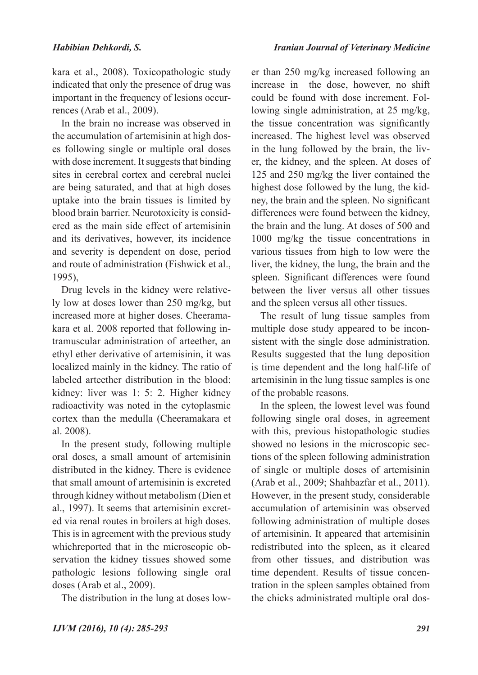kara et al., 2008). Toxicopathologic study indicated that only the presence of drug was important in the frequency of lesions occurrences (Arab et al., 2009).

In the brain no increase was observed in the accumulation of artemisinin at high doses following single or multiple oral doses with dose increment. It suggests that binding sites in cerebral cortex and cerebral nuclei are being saturated, and that at high doses uptake into the brain tissues is limited by blood brain barrier. Neurotoxicity is considered as the main side effect of artemisinin and its derivatives, however, its incidence and severity is dependent on dose, period and route of administration (Fishwick et al., 1995),

Drug levels in the kidney were relatively low at doses lower than 250 mg/kg, but increased more at higher doses. Cheeramakara et al. 2008 reported that following intramuscular administration of arteether, an ethyl ether derivative of artemisinin, it was localized mainly in the kidney. The ratio of labeled arteether distribution in the blood: kidney: liver was 1: 5: 2. Higher kidney radioactivity was noted in the cytoplasmic cortex than the medulla (Cheeramakara et al. 2008).

In the present study, following multiple oral doses, a small amount of artemisinin distributed in the kidney. There is evidence that small amount of artemisinin is excreted through kidney without metabolism (Dien et al., 1997). It seems that artemisinin excreted via renal routes in broilers at high doses. This is in agreement with the previous study whichreported that in the microscopic observation the kidney tissues showed some pathologic lesions following single oral doses (Arab et al., 2009).

The distribution in the lung at doses low-

er than 250 mg/kg increased following an increase in the dose, however, no shift could be found with dose increment. Following single administration, at 25 mg/kg, the tissue concentration was significantly increased. The highest level was observed in the lung followed by the brain, the liver, the kidney, and the spleen. At doses of 125 and 250 mg/kg the liver contained the highest dose followed by the lung, the kidney, the brain and the spleen. No significant differences were found between the kidney, the brain and the lung. At doses of 500 and 1000 mg/kg the tissue concentrations in various tissues from high to low were the liver, the kidney, the lung, the brain and the spleen. Significant differences were found between the liver versus all other tissues and the spleen versus all other tissues.

The result of lung tissue samples from multiple dose study appeared to be inconsistent with the single dose administration. Results suggested that the lung deposition is time dependent and the long half-life of artemisinin in the lung tissue samples is one of the probable reasons.

In the spleen, the lowest level was found following single oral doses, in agreement with this, previous histopathologic studies showed no lesions in the microscopic sections of the spleen following administration of single or multiple doses of artemisinin (Arab et al., 2009; Shahbazfar et al., 2011). However, in the present study, considerable accumulation of artemisinin was observed following administration of multiple doses of artemisinin. It appeared that artemisinin redistributed into the spleen, as it cleared from other tissues, and distribution was time dependent. Results of tissue concentration in the spleen samples obtained from the chicks administrated multiple oral dos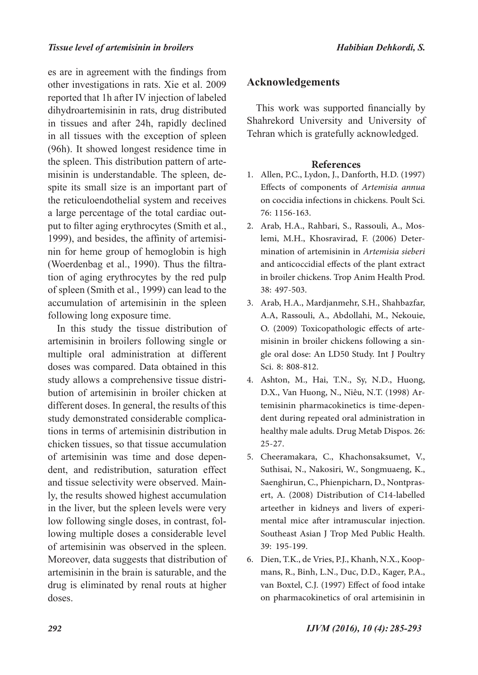es are in agreement with the findings from other investigations in rats. Xie et al. 2009 reported that 1h after IV injection of labeled dihydroartemisinin in rats, drug distributed in tissues and after 24h, rapidly declined in all tissues with the exception of spleen (96h). It showed longest residence time in the spleen. This distribution pattern of artemisinin is understandable. The spleen, despite its small size is an important part of the reticuloendothelial system and receives a large percentage of the total cardiac output to filter aging erythrocytes (Smith et al., 1999), and besides, the affinity of artemisinin for heme group of hemoglobin is high (Woerdenbag et al., 1990). Thus the filtration of aging erythrocytes by the red pulp of spleen (Smith et al., 1999) can lead to the accumulation of artemisinin in the spleen following long exposure time.

In this study the tissue distribution of artemisinin in broilers following single or multiple oral administration at different doses was compared. Data obtained in this study allows a comprehensive tissue distribution of artemisinin in broiler chicken at different doses. In general, the results of this study demonstrated considerable complications in terms of artemisinin distribution in chicken tissues, so that tissue accumulation of artemisinin was time and dose dependent, and redistribution, saturation effect and tissue selectivity were observed. Mainly, the results showed highest accumulation in the liver, but the spleen levels were very low following single doses, in contrast, following multiple doses a considerable level of artemisinin was observed in the spleen. Moreover, data suggests that distribution of artemisinin in the brain is saturable, and the drug is eliminated by renal routs at higher doses.

### **Acknowledgements**

This work was supported financially by Shahrekord University and University of Tehran which is gratefully acknowledged.

#### **References**

- Allen, P.C., Lydon, J., Danforth, H.D. (1997) 1. Effects of components of *Artemisia annua* on coccidia infections in chickens. Poult Sci. 76: 1156-163.
- Arab, H.A., Rahbari, S., Rassouli, A., Mos-2. lemi, M.H., Khosravirad, F. (2006) Determination of artemisinin in *Artemisia sieberi*  and anticoccidial effects of the plant extract in broiler chickens. Trop Anim Health Prod. 38: 497-503.
- Arab, H.A., Mardjanmehr, S.H., Shahbazfar, 3. A.A, Rassouli, A., Abdollahi, M., Nekouie, O. (2009) Toxicopathologic effects of artemisinin in broiler chickens following a single oral dose: An LD50 Study. Int J Poultry Sci. 8: 808-812.
- Ashton, M., Hai, T.N., Sy, N.D., Huong, 4. D.X., Van Huong, N., Niêu, N.T. (1998) Artemisinin pharmacokinetics is time-dependent during repeated oral administration in healthy male adults. Drug Metab Dispos. 26: 25-27.
- 5. Cheeramakara, C., Khachonsaksumet, V., Suthisai, N., Nakosiri, W., Songmuaeng, K., Saenghirun, C., Phienpicharn, D., Nontprasert, A. (2008) Distribution of C14-labelled arteether in kidneys and livers of experimental mice after intramuscular injection. Southeast Asian J Trop Med Public Health. 39: 195-199.
- Dien, T.K., de Vries, P.J., Khanh, N.X., Koop-6. mans, R., Binh, L.N., Duc, D.D., Kager, P.A., van Boxtel, C.J. (1997) Effect of food intake on pharmacokinetics of oral artemisinin in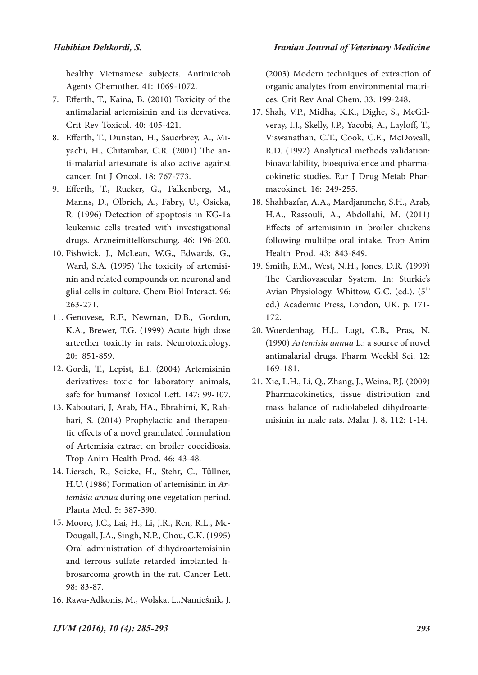*Iranian Journal of Veterinary Medicine*

healthy Vietnamese subjects. Antimicrob Agents Chemother. 41: 1069-1072.

- Efferth, T., Kaina, B. (2010) Toxicity of the 7. antimalarial artemisinin and its dervatives. Crit Rev Toxicol. 40: 405-421.
- Efferth, T., Dunstan, H., Sauerbrey, A., Mi-8. yachi, H., Chitambar, C.R. (2001) The anti-malarial artesunate is also active against cancer. Int J Oncol. 18: 767-773.
- Efferth, T., Rucker, G., Falkenberg, M., 9. Manns, D., Olbrich, A., Fabry, U., Osieka, R. (1996) Detection of apoptosis in KG-1a leukemic cells treated with investigational drugs. Arzneimittelforschung. 46: 196-200.
- Fishwick, J., McLean, W.G., Edwards, G., 10. Ward, S.A. (1995) The toxicity of artemisinin and related compounds on neuronal and glial cells in culture. Chem Biol Interact. 96: 263-271.
- 11. Genovese, R.F., Newman, D.B., Gordon, K.A., Brewer, T.G. (1999) Acute high dose arteether toxicity in rats. Neurotoxicology. 20: 851-859.
- Gordi, T., Lepist, E.I. (2004) Artemisinin 12. derivatives: toxic for laboratory animals, safe for humans? Toxicol Lett. 147: 99-107.
- 13. Kaboutari, J, Arab, HA., Ebrahimi, K, Rahbari, S. (2014) Prophylactic and therapeutic effects of a novel granulated formulation of Artemisia extract on broiler coccidiosis. Trop Anim Health Prod. 46: 43-48.
- Liersch, R., Soicke, H., Stehr, C., Tüllner, 14. H.U. (1986) Formation of artemisinin in Ar*temisia annua* during one vegetation period. Planta Med. 5: 387-390.
- Moore, J.C., Lai, H., Li, J.R., Ren, R.L., Mc-15. Dougall, J.A., Singh, N.P., Chou, C.K. (1995) Oral administration of dihydroartemisinin and ferrous sulfate retarded implanted fibrosarcoma growth in the rat. Cancer Lett. 98: 83-87.
- 16. Rawa-Adkonis, M., Wolska, L.,Namieśnik, J.

(2003) Modern techniques of extraction of organic analytes from environmental matrices. Crit Rev Anal Chem. 33: 199-248.

- 17. Shah, V.P., Midha, K.K., Dighe, S., McGilveray, I.J., Skelly, J.P., Yacobi, A., Layloff, T., Viswanathan, C.T., Cook, C.E., McDowall, R.D. (1992) Analytical methods validation: bioavailability, bioequivalence and pharmacokinetic studies. Eur J Drug Metab Pharmacokinet. 16: 249-255.
- 18. Shahbazfar, A.A., Mardjanmehr, S.H., Arab, H.A., Rassouli, A., Abdollahi, M. (2011) Effects of artemisinin in broiler chickens following multilpe oral intake. Trop Anim Health Prod. 43: 843-849.
- Smith, F.M., West, N.H., Jones, D.R. (1999) 19. The Cardiovascular System. In: Sturkie's Avian Physiology. Whittow, G.C. (ed.).  $(5^{th}$ ed.) Academic Press, London, UK. p. 171- 172.
- Woerdenbag, H.J., Lugt, C.B., Pras, N. 20. (1990) *Artemisia annua* L.: a source of novel antimalarial drugs. Pharm Weekbl Sci. 12: 169-181.
- Xie, L.H., Li, Q., Zhang, J., Weina, P.J. (2009) 21. Pharmacokinetics, tissue distribution and mass balance of radiolabeled dihydroartemisinin in male rats. Malar J. 8, 112: 1-14.